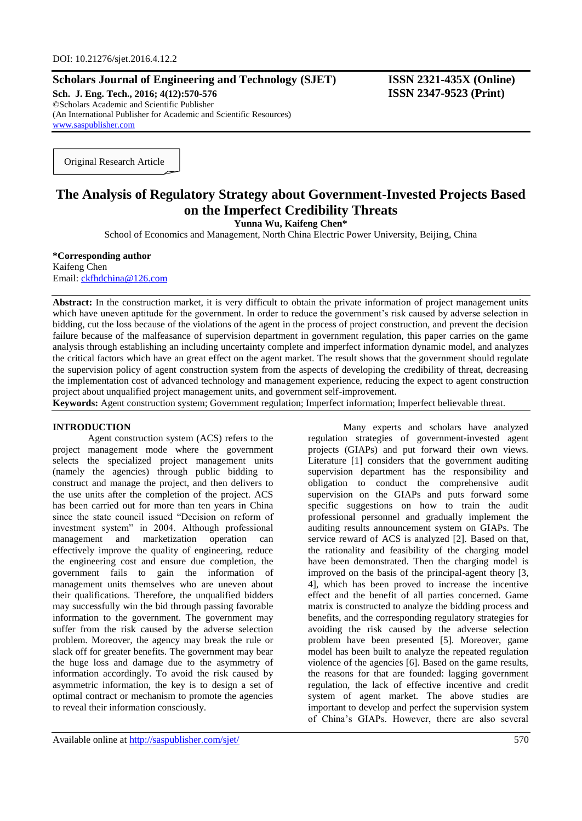# **Scholars Journal of Engineering and Technology (SJET) ISSN 2321-435X (Online)**

**Sch. J. Eng. Tech., 2016; 4(12):570-576 ISSN 2347-9523 (Print)** ©Scholars Academic and Scientific Publisher (An International Publisher for Academic and Scientific Resources) [www.saspublisher.com](http://www.saspublisher.com/)

Original Research Article

# **The Analysis of Regulatory Strategy about Government-Invested Projects Based on the Imperfect Credibility Threats**

**Yunna Wu, Kaifeng Chen\***

School of Economics and Management, North China Electric Power University, Beijing, China

#### **\*Corresponding author** Kaifeng Chen Email: [ckfhdchina@126.com](mailto:ckfhdchina@126.com)

**Abstract:** In the construction market, it is very difficult to obtain the private information of project management units which have uneven aptitude for the government. In order to reduce the government's risk caused by adverse selection in bidding, cut the loss because of the violations of the agent in the process of project construction, and prevent the decision failure because of the malfeasance of supervision department in government regulation, this paper carries on the game analysis through establishing an including uncertainty complete and imperfect information dynamic model, and analyzes the critical factors which have an great effect on the agent market. The result shows that the government should regulate the supervision policy of agent construction system from the aspects of developing the credibility of threat, decreasing the implementation cost of advanced technology and management experience, reducing the expect to agent construction project about unqualified project management units, and government self-improvement.

**Keywords:** Agent construction system; Government regulation; Imperfect information; Imperfect believable threat.

## **INTRODUCTION**

Agent construction system (ACS) refers to the project management mode where the government selects the specialized project management units (namely the agencies) through public bidding to construct and manage the project, and then delivers to the use units after the completion of the project. ACS has been carried out for more than ten years in China since the state council issued "Decision on reform of investment system" in 2004. Although professional management and marketization operation can effectively improve the quality of engineering, reduce the engineering cost and ensure due completion, the government fails to gain the information of management units themselves who are uneven about their qualifications. Therefore, the unqualified bidders may successfully win the bid through passing favorable information to the government. The government may suffer from the risk caused by the adverse selection problem. Moreover, the agency may break the rule or slack off for greater benefits. The government may bear the huge loss and damage due to the asymmetry of information accordingly. To avoid the risk caused by asymmetric information, the key is to design a set of optimal contract or mechanism to promote the agencies to reveal their information consciously.

Many experts and scholars have analyzed regulation strategies of government-invested agent projects (GIAPs) and put forward their own views. Literature [1] considers that the government auditing supervision department has the responsibility and obligation to conduct the comprehensive audit supervision on the GIAPs and puts forward some specific suggestions on how to train the audit professional personnel and gradually implement the auditing results announcement system on GIAPs. The service reward of ACS is analyzed [2]. Based on that, the rationality and feasibility of the charging model have been demonstrated. Then the charging model is improved on the basis of the principal-agent theory [3, 4], which has been proved to increase the incentive effect and the benefit of all parties concerned. Game matrix is constructed to analyze the bidding process and benefits, and the corresponding regulatory strategies for avoiding the risk caused by the adverse selection problem have been presented [5]. Moreover, game model has been built to analyze the repeated regulation violence of the agencies [6]. Based on the game results, the reasons for that are founded: lagging government regulation, the lack of effective incentive and credit system of agent market. The above studies are important to develop and perfect the supervision system of China's GIAPs. However, there are also several

Available online at<http://saspublisher.com/sjet/> 570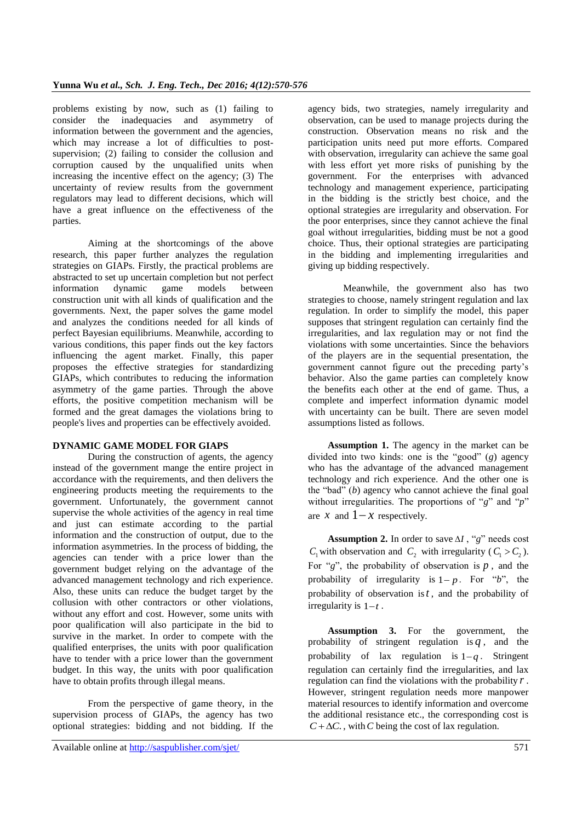problems existing by now, such as (1) failing to consider the inadequacies and asymmetry of information between the government and the agencies, which may increase a lot of difficulties to postsupervision; (2) failing to consider the collusion and corruption caused by the unqualified units when increasing the incentive effect on the agency; (3) The uncertainty of review results from the government regulators may lead to different decisions, which will have a great influence on the effectiveness of the parties.

Aiming at the shortcomings of the above research, this paper further analyzes the regulation strategies on GIAPs. Firstly, the practical problems are abstracted to set up uncertain completion but not perfect<br>information dynamic game models between information dynamic game models between construction unit with all kinds of qualification and the governments. Next, the paper solves the game model and analyzes the conditions needed for all kinds of perfect Bayesian equilibriums. Meanwhile, according to various conditions, this paper finds out the key factors influencing the agent market. Finally, this paper proposes the effective strategies for standardizing GIAPs, which contributes to reducing the information asymmetry of the game parties. Through the above efforts, the positive competition mechanism will be formed and the great damages the violations bring to people's lives and properties can be effectively avoided.

# **DYNAMIC GAME MODEL FOR GIAPS**

During the construction of agents, the agency instead of the government mange the entire project in accordance with the requirements, and then delivers the engineering products meeting the requirements to the government. Unfortunately, the government cannot supervise the whole activities of the agency in real time and just can estimate according to the partial information and the construction of output, due to the information asymmetries. In the process of bidding, the agencies can tender with a price lower than the government budget relying on the advantage of the advanced management technology and rich experience. Also, these units can reduce the budget target by the collusion with other contractors or other violations, without any effort and cost. However, some units with poor qualification will also participate in the bid to survive in the market. In order to compete with the qualified enterprises, the units with poor qualification have to tender with a price lower than the government budget. In this way, the units with poor qualification have to obtain profits through illegal means.

From the perspective of game theory, in the supervision process of GIAPs, the agency has two optional strategies: bidding and not bidding. If the

agency bids, two strategies, namely irregularity and observation, can be used to manage projects during the construction. Observation means no risk and the participation units need put more efforts. Compared with observation, irregularity can achieve the same goal with less effort yet more risks of punishing by the government. For the enterprises with advanced technology and management experience, participating in the bidding is the strictly best choice, and the optional strategies are irregularity and observation. For the poor enterprises, since they cannot achieve the final goal without irregularities, bidding must be not a good choice. Thus, their optional strategies are participating in the bidding and implementing irregularities and giving up bidding respectively.

Meanwhile, the government also has two strategies to choose, namely stringent regulation and lax regulation. In order to simplify the model, this paper supposes that stringent regulation can certainly find the irregularities, and lax regulation may or not find the violations with some uncertainties. Since the behaviors of the players are in the sequential presentation, the government cannot figure out the preceding party's behavior. Also the game parties can completely know the benefits each other at the end of game. Thus, a complete and imperfect information dynamic model with uncertainty can be built. There are seven model assumptions listed as follows.

**Assumption 1.** The agency in the market can be divided into two kinds: one is the "good" (*g*) agency who has the advantage of the advanced management technology and rich experience. And the other one is the "bad" (*b*) agency who cannot achieve the final goal without irregularities. The proportions of "*g*" and "*p*" are x and  $1-x$  respectively.

Assumption 2. In order to save  $\Delta I$ , "g" needs cost  $C_1$  with observation and  $C_2$  with irregularity ( $C_1 > C_2$ ). For " $g$ ", the probability of observation is  $p$ , and the probability of irregularity is  $1-p$ . For "*b*", the probability of observation is *t* , and the probability of irregularity is  $1-t$ .

**Assumption 3.** For the government, the probability of stringent regulation is  $q$ , and the probability of lax regulation is  $1-q$ . Stringent regulation can certainly find the irregularities, and lax regulation can find the violations with the probability *r* . However, stringent regulation needs more manpower material resources to identify information and overcome the additional resistance etc., the corresponding cost is  $C + \Delta C$ , with C being the cost of lax regulation.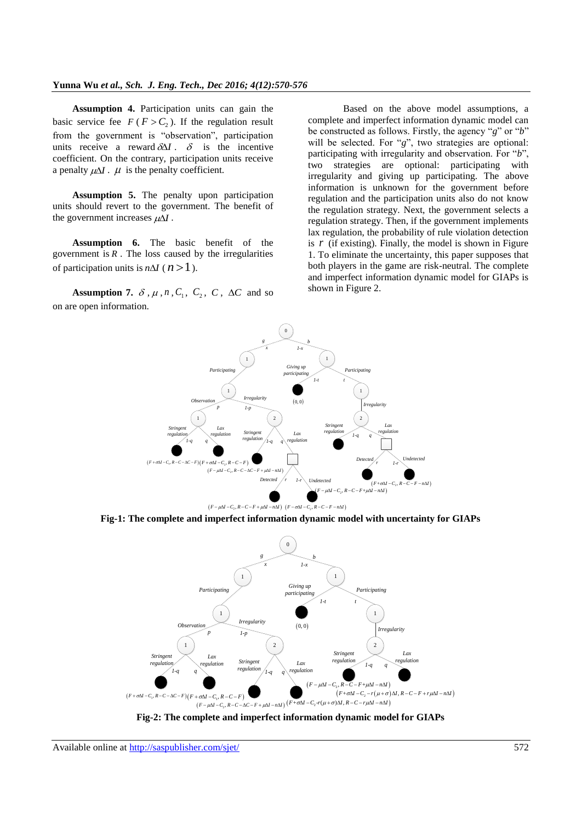**Assumption 4.** Participation units can gain the basic service fee  $F(F > C_2)$ . If the regulation result from the government is "observation", participation units receive a reward  $\delta \Delta I$ .  $\delta$  is the incentive coefficient. On the contrary, participation units receive a penalty  $\mu\Delta I$ .  $\mu$  is the penalty coefficient.

**Assumption 5.** The penalty upon participation units should revert to the government. The benefit of the government increases  $\mu \Delta I$ .

**Assumption 6.** The basic benefit of the government is  $R$ . The loss caused by the irregularities of participation units is  $n\Delta I$  ( $n > 1$ ).

**Assumption 7.**  $\delta$ ,  $\mu$ ,  $n$ ,  $C_1$ ,  $C_2$ ,  $C$ ,  $\Delta C$  and so on are open information.

Based on the above model assumptions, a complete and imperfect information dynamic model can be constructed as follows. Firstly, the agency "*g*" or "*b*" will be selected. For "*g*", two strategies are optional: participating with irregularity and observation. For "*b*", two strategies are optional: participating with irregularity and giving up participating. The above information is unknown for the government before regulation and the participation units also do not know the regulation strategy. Next, the government selects a regulation strategy. Then, if the government implements lax regulation, the probability of rule violation detection is  $r$  (if existing). Finally, the model is shown in Figure 1. To eliminate the uncertainty, this paper supposes that both players in the game are risk-neutral. The complete and imperfect information dynamic model for GIAPs is shown in Figure 2.



**Fig-1: The complete and imperfect information dynamic model with uncertainty for GIAPs**



**Fig-2: The complete and imperfect information dynamic model for GIAPs**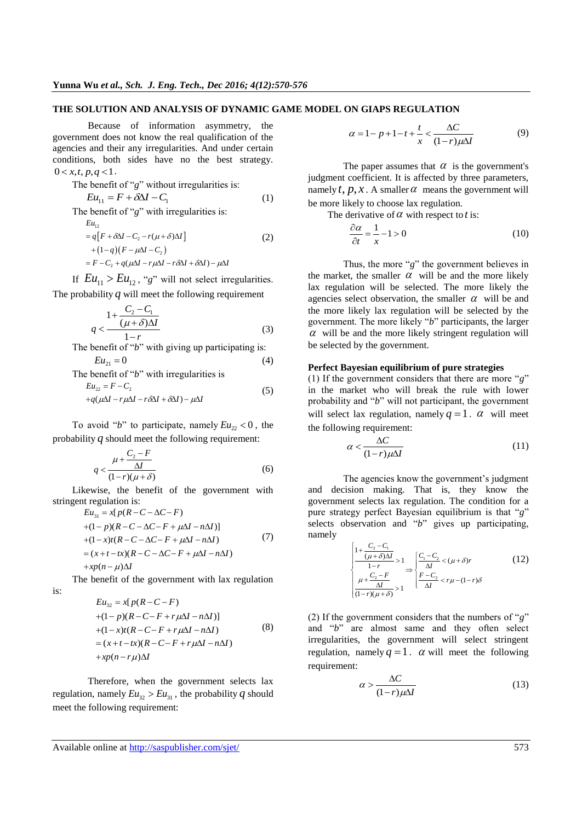#### **THE SOLUTION AND ANALYSIS OF DYNAMIC GAME MODEL ON GIAPS REGULATION**

Because of information asymmetry, the government does not know the real qualification of the agencies and their any irregularities. And under certain conditions, both sides have no the best strategy.  $0 < x, t, p, q < 1.$ 

The benefit of 
$$
g
$$
 without irregularities is:

$$
Eu_{11} = F + \delta \Delta I - C_1 \tag{1}
$$

The benefit of "g" with irregularities is:

$$
Eu_{12}
$$
  
=  $q[F + \delta\Delta I - C_2 - r(\mu + \delta)\Delta I]$   
+  $(1-q)(F - \mu\Delta I - C_2)$   
=  $F - C_2 + q(\mu\Delta I - r\mu\Delta I - r\delta\Delta I + \delta\Delta I) - \mu\Delta I$  (2)

If  $Eu_{11} > Eu_{12}$ , "g" will not select irregularities. The probability  $q$  will meet the following requirement

$$
q < \frac{1 + \frac{C_2 - C_1}{(\mu + \delta)\Delta I}}{1 - r} \tag{3}
$$

The benefit of "*b*" with giving up participating is:  $Eu_{21} = 0$  (4)

The benefit of "*b*" with irregularities is  
\n
$$
Eu_{22} = F - C_2
$$
\n
$$
+q(\mu\Delta I - r\mu\Delta I - r\delta\Delta I + \delta\Delta I) - \mu\Delta I
$$
\n(5)

To avoid "*b*" to participate, namely  $Eu_{22} < 0$ , the probability *q* should meet the following requirement:

$$
q < \frac{\mu + \frac{C_2 - F}{\Delta l}}{(1 - r)(\mu + \delta)}\tag{6}
$$

Likewise, the benefit of the government with stringent regulation is:<br>  $E u_{31} = x[p(R - C - \Delta C - F)]$ 

$$
Eu31 = x[p(R – C – ΔC – F)+ (1 – p)(R – C – ΔC – F + μΔI – nΔI)]+ (1 – x)t(R – C – ΔC – F + μΔI – nΔI)= (x + t – tx)(R – C – ΔC – F + μΔI – nΔI)+ xp(n – μ)ΔI
$$
\n(7)

The benefit of the government with lax regulation is:

$$
Eu_{32} = x[p(R-C-F)
$$
  
+ (1-p)(R-C-F+r $\mu\Delta I$  - n $\Delta I$ )]  
+ (1-x)t(R-C-F+r $\mu\Delta I$  - n $\Delta I$ )  
= (x+t-tx)(R-C-F+r $\mu\Delta I$  - n $\Delta I$ )  
+xp(n-r $\mu$ ) $\Delta I$ 

Therefore, when the government selects lax regulation, namely  $Eu_{32} > Eu_{31}$ , the probability q should meet the following requirement:

$$
\alpha = 1 - p + 1 - t + \frac{t}{x} < \frac{\Delta C}{(1 - r)\mu \Delta I} \tag{9}
$$

The paper assumes that  $\alpha$  is the government's judgment coefficient. It is affected by three parameters, namely  $t, p, x$ . A smaller  $\alpha$  means the government will be more likely to choose lax regulation.

The derivative of  $\alpha$  with respect to *t* is:

$$
\frac{\partial \alpha}{\partial t} = \frac{1}{x} - 1 > 0 \tag{10}
$$

Thus, the more "*g*" the government believes in the market, the smaller  $\alpha$  will be and the more likely lax regulation will be selected. The more likely the agencies select observation, the smaller  $\alpha$  will be and the more likely lax regulation will be selected by the government. The more likely "*b*" participants, the larger  $\alpha$  will be and the more likely stringent regulation will be selected by the government.

## **Perfect Bayesian equilibrium of pure strategies**

(1) If the government considers that there are more "*g*" in the market who will break the rule with lower probability and "*b*" will not participant, the government will select lax regulation, namely  $q = 1$ .  $\alpha$  will meet the following requirement:

$$
\alpha < \frac{\Delta C}{(1-r)\mu\Delta I} \tag{11}
$$

The agencies know the government's judgment and decision making. That is, they know the government selects lax regulation. The condition for a pure strategy perfect Bayesian equilibrium is that "*g*" selects observation and "*b*" gives up participating, namely

$$
\begin{cases}\n\frac{1 + \frac{C_2 - C_1}{(\mu + \delta)\Delta l}}{1 - r} > 1 \\
\frac{\mu + \frac{C_2 - F}{\Delta l}}{(1 - r)(\mu + \delta)} > 1\n\end{cases}\n\Rightarrow\n\begin{cases}\n\frac{C_1 - C_2}{\Delta l} < (\mu + \delta)r \\
\frac{F - C_2}{\Delta l} < r\mu - (1 - r)\delta\n\end{cases}\n\tag{12}
$$

(2) If the government considers that the numbers of "*g*" and "*b*" are almost same and they often select irregularities, the government will select stringent regulation, namely  $q = 1$ .  $\alpha$  will meet the following requirement:

$$
\alpha > \frac{\Delta C}{(1 - r)\mu \Delta I} \tag{13}
$$

Available online at<http://saspublisher.com/sjet/> 573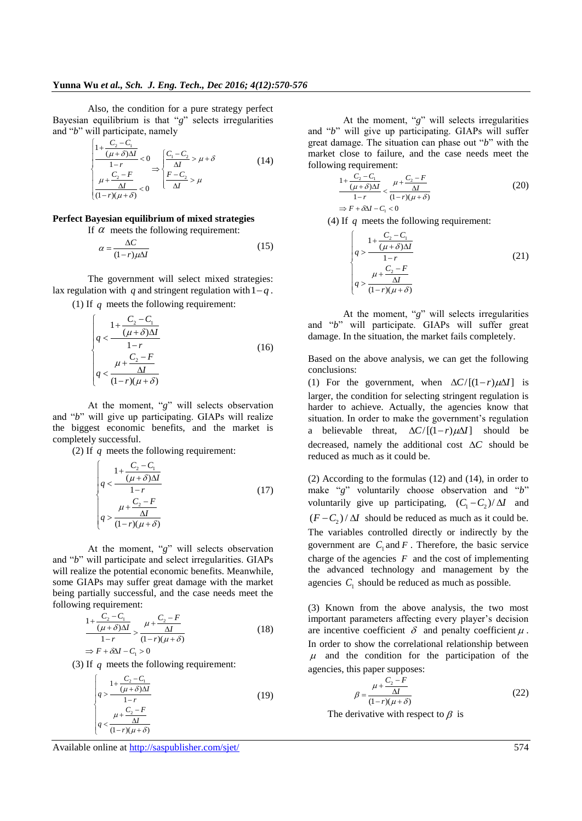Also, the condition for a pure strategy perfect Bayesian equilibrium is that "*g*" selects irregularities and "*b*" will participate, namely<br> $\begin{bmatrix} 1 + \frac{C_2 - C_1}{C_2} \end{bmatrix}$ 

$$
\begin{cases}\n\frac{1 + \frac{C_2 - C_1}{(\mu + \delta)\Delta I}}{1 - r} < 0 \\
\frac{\mu + \frac{C_2 - F}{\Delta I}}{(1 - r)(\mu + \delta)} < 0\n\end{cases} \Rightarrow \begin{cases}\n\frac{C_1 - C_2}{\Delta I} > \mu + \delta \\
\frac{F - C_2}{\Delta I} > \mu \\
\frac{\Delta I}{\Delta I} > \mu\n\end{cases} \tag{14}
$$

## **Perfect Bayesian equilibrium of mixed strategies**

If  $\alpha$  meets the following requirement:

$$
\alpha = \frac{\Delta C}{(1 - r)\mu \Delta I} \tag{15}
$$

The government will select mixed strategies: lax regulation with  $q$  and stringent regulation with  $1-q$ .

(1) If  $q$  meets the following requirement:

$$
\begin{cases}\n1 + \frac{C_2 - C_1}{(\mu + \delta)\Delta I} \\
q < \frac{1 - r}{1 - r} \\
q < \frac{\mu + \frac{C_2 - F}{\Delta I}}{(1 - r)(\mu + \delta)}\n\end{cases} \tag{16}
$$

At the moment, "*g*" will selects observation and "*b*" will give up participating. GIAPs will realize the biggest economic benefits, and the market is completely successful.

(2) If  $q$  meets the following requirement:

$$
\begin{cases}\n1 + \frac{C_2 - C_1}{(\mu + \delta)\Delta I} \\
q < \frac{1 - r}{1 - r} \\
q > \frac{\mu + \frac{C_2 - F}{\Delta I}}{(1 - r)(\mu + \delta)}\n\end{cases}
$$
\n(17)

At the moment, "*g*" will selects observation and "*b*" will participate and select irregularities. GIAPs will realize the potential economic benefits. Meanwhile, some GIAPs may suffer great damage with the market being partially successful, and the case needs meet the following requirement:

$$
\frac{1 + \frac{C_2 - C_1}{(\mu + \delta)\Delta I}}{1 - r} > \frac{\mu + \frac{C_2 - F}{\Delta I}}{(1 - r)(\mu + \delta)}
$$
(18)  

$$
\Rightarrow F + \delta \Delta I - C_1 > 0
$$

(3) If  $q$  meets the following requirement:

$$
\begin{cases}\n1 + \frac{C_2 - C_1}{(\mu + \delta)\Delta I} \\
q > \frac{\mu + \frac{C_2 - F}{\Delta I}}{1 - r}\n\end{cases}
$$
\n(19)

At the moment, "*g*" will selects irregularities and "*b*" will give up participating. GIAPs will suffer great damage. The situation can phase out "*b*" with the market close to failure, and the case needs meet the following requirement:

$$
\frac{1 + \frac{C_2 - C_1}{(\mu + \delta)\Delta I}}{1 - r} < \frac{\mu + \frac{C_2 - F}{\Delta I}}{(1 - r)(\mu + \delta)}
$$
(20)  

$$
\Rightarrow F + \delta \Delta I - C_1 < 0
$$

(4) If *q* meets the following requirement:

$$
\begin{cases}\n1 + \frac{C_2 - C_1}{(\mu + \delta)\Delta I} \\
q > \frac{1 - r}{1 - r} \\
q > \frac{\mu + \frac{C_2 - F}{\Delta I}}{(1 - r)(\mu + \delta)}\n\end{cases}
$$
\n(21)

At the moment, "*g*" will selects irregularities and "*b*" will participate. GIAPs will suffer great damage. In the situation, the market fails completely.

Based on the above analysis, we can get the following conclusions:

(1) For the government, when  $\Delta C / [(1 - r)\mu \Delta I]$  is larger, the condition for selecting stringent regulation is harder to achieve. Actually, the agencies know that situation. In order to make the government's regulation a believable threat,  $\Delta C / [(1-r)\mu\Delta I]$  should be decreased, namely the additional cost  $\Delta C$  should be reduced as much as it could be.

(2) According to the formulas (12) and (14), in order to make "*g*" voluntarily choose observation and "*b*" voluntarily give up participating,  $(C_1 - C_2)/\Delta I$  and  $(F - C_2) / \Delta I$  should be reduced as much as it could be. The variables controlled directly or indirectly by the government are  $C_1$  and  $F$ . Therefore, the basic service charge of the agencies  $F$  and the cost of implementing the advanced technology and management by the agencies  $C_1$  should be reduced as much as possible.

(3) Known from the above analysis, the two most important parameters affecting every player's decision are incentive coefficient  $\delta$  and penalty coefficient  $\mu$ . In order to show the correlational relationship between  $\mu$  and the condition for the participation of the agencies, this paper supposes:

$$
\beta = \frac{\mu + \frac{C_2 - F}{\Delta I}}{(1 - r)(\mu + \delta)}\tag{22}
$$

The derivative with respect to  $\beta$  is

Available online at<http://saspublisher.com/sjet/> 574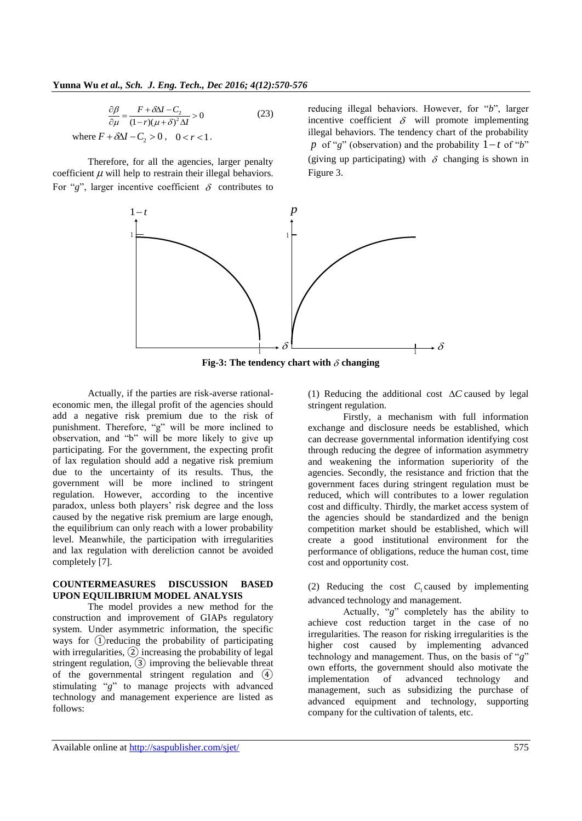$$
\frac{\partial \beta}{\partial \mu} = \frac{F + \delta \Delta I - C_2}{(1 - r)(\mu + \delta)^2 \Delta I} > 0
$$
\n(23)

where  $F + \delta \Delta I - C_2 > 0$ ,  $0 < r < 1$ .

Therefore, for all the agencies, larger penalty coefficient  $\mu$  will help to restrain their illegal behaviors. For "g", larger incentive coefficient  $\delta$  contributes to

reducing illegal behaviors. However, for "*b*", larger incentive coefficient  $\delta$  will promote implementing illegal behaviors. The tendency chart of the probability p of "g" (observation) and the probability  $1-t$  of "b" (giving up participating) with  $\delta$  changing is shown in Figure 3.



Fig-3: The tendency chart with  $\delta$  changing

Actually, if the parties are risk-averse rationaleconomic men, the illegal profit of the agencies should add a negative risk premium due to the risk of punishment. Therefore, "g" will be more inclined to observation, and "b" will be more likely to give up participating. For the government, the expecting profit of lax regulation should add a negative risk premium due to the uncertainty of its results. Thus, the government will be more inclined to stringent regulation. However, according to the incentive paradox, unless both players' risk degree and the loss caused by the negative risk premium are large enough, the equilibrium can only reach with a lower probability level. Meanwhile, the participation with irregularities and lax regulation with dereliction cannot be avoided completely [7].

#### **COUNTERMEASURES DISCUSSION BASED UPON EQUILIBRIUM MODEL ANALYSIS**

The model provides a new method for the construction and improvement of GIAPs regulatory system. Under asymmetric information, the specific ways for ①reducing the probability of participating with irregularities, ② increasing the probability of legal stringent regulation, ③ improving the believable threat of the governmental stringent regulation and ④ stimulating "*g*" to manage projects with advanced technology and management experience are listed as follows:

(1) Reducing the additional cost  $\Delta C$  caused by legal stringent regulation.

Firstly, a mechanism with full information exchange and disclosure needs be established, which can decrease governmental information identifying cost through reducing the degree of information asymmetry and weakening the information superiority of the agencies. Secondly, the resistance and friction that the government faces during stringent regulation must be reduced, which will contributes to a lower regulation cost and difficulty. Thirdly, the market access system of the agencies should be standardized and the benign competition market should be established, which will create a good institutional environment for the performance of obligations, reduce the human cost, time cost and opportunity cost.

(2) Reducing the cost  $C_1$  caused by implementing advanced technology and management.

Actually, "*g*" completely has the ability to achieve cost reduction target in the case of no irregularities. The reason for risking irregularities is the higher cost caused by implementing advanced technology and management. Thus, on the basis of "*g*" own efforts, the government should also motivate the implementation of advanced technology and management, such as subsidizing the purchase of advanced equipment and technology, supporting company for the cultivation of talents, etc.

Available online at<http://saspublisher.com/sjet/> 575